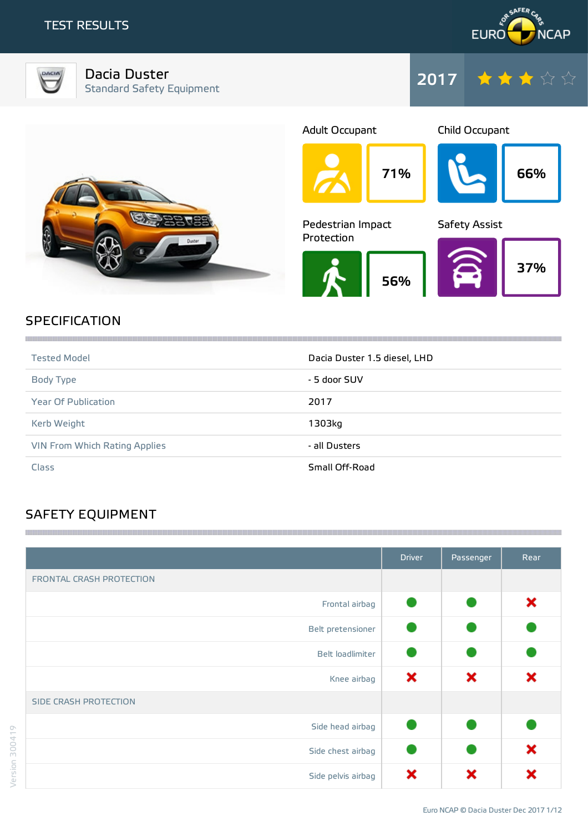



Dacia Duster Standard Safety Equipment





## **SPECIFICATION**

| <b>Tested Model</b>                  | Dacia Duster 1.5 diesel, LHD |
|--------------------------------------|------------------------------|
| Body Type                            | - 5 door SUV                 |
| <b>Year Of Publication</b>           | 2017                         |
| Kerb Weight                          | 1303kg                       |
| <b>VIN From Which Rating Applies</b> | - all Dusters                |
| Class                                | Small Off-Road               |

# SAFETY EQUIPMENT

|                          | <b>Driver</b> | Passenger | Rear |
|--------------------------|---------------|-----------|------|
| FRONTAL CRASH PROTECTION |               |           |      |
| Frontal airbag           |               |           | ×    |
| Belt pretensioner        |               |           |      |
| Belt loadlimiter         |               |           |      |
| Knee airbag              | ×             | ×         | ×    |
| SIDE CRASH PROTECTION    |               |           |      |
| Side head airbag         |               |           |      |
| Side chest airbag        |               |           | ×    |
| Side pelvis airbag       | ×             |           | х    |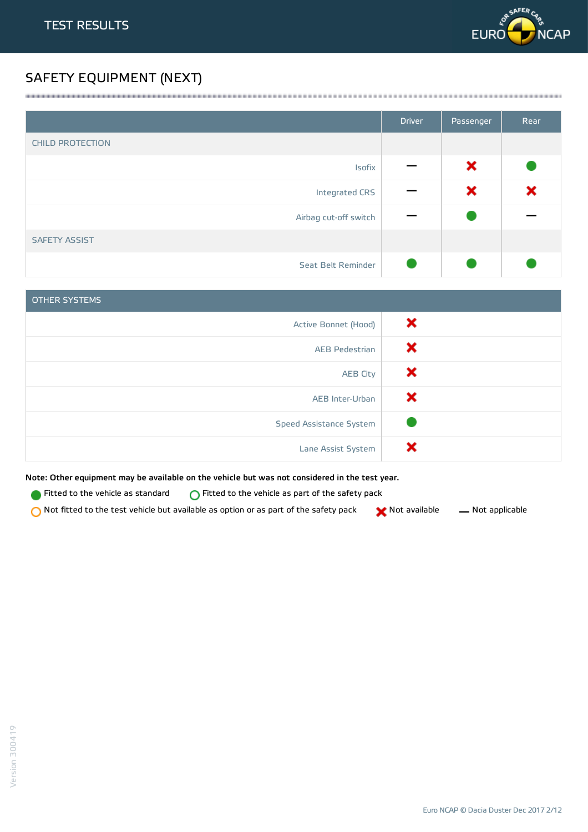

# SAFETY EQUIPMENT (NEXT)

|                         | <b>Driver</b> | Passenger | Rear |
|-------------------------|---------------|-----------|------|
| <b>CHILD PROTECTION</b> |               |           |      |
| Isofix                  |               | ×         |      |
| Integrated CRS          |               | ×         | ×    |
| Airbag cut-off switch   |               |           |      |
| <b>SAFETY ASSIST</b>    |               |           |      |
| Seat Belt Reminder      |               |           |      |

<u> 1989 - Andrea Stadt Stadt Stadt Stadt Stadt Stadt Stadt Stadt Stadt Stadt Stadt Stadt Stadt Stadt Stadt Stadt Stadt Stadt Stadt Stadt Stadt Stadt Stadt Stadt Stadt Stadt Stadt Stadt Stadt Stadt Stadt Stadt Stadt Stadt St</u>

| <b>OTHER SYSTEMS</b>    |   |
|-------------------------|---|
| Active Bonnet (Hood)    | × |
| <b>AEB Pedestrian</b>   | х |
| <b>AEB City</b>         | x |
| AEB Inter-Urban         | х |
| Speed Assistance System |   |
| Lane Assist System      |   |

Note: Other equipment may be available on the vehicle but was not considered in the test year.

Fitted to the vehicle as standard  $\bigcirc$  Fitted to the vehicle as part of the safety pack

 $\bigcirc$  Not fitted to the test vehicle but available as option or as part of the safety pack  $\bigcirc$  Not available  $\qquad$  Not applicable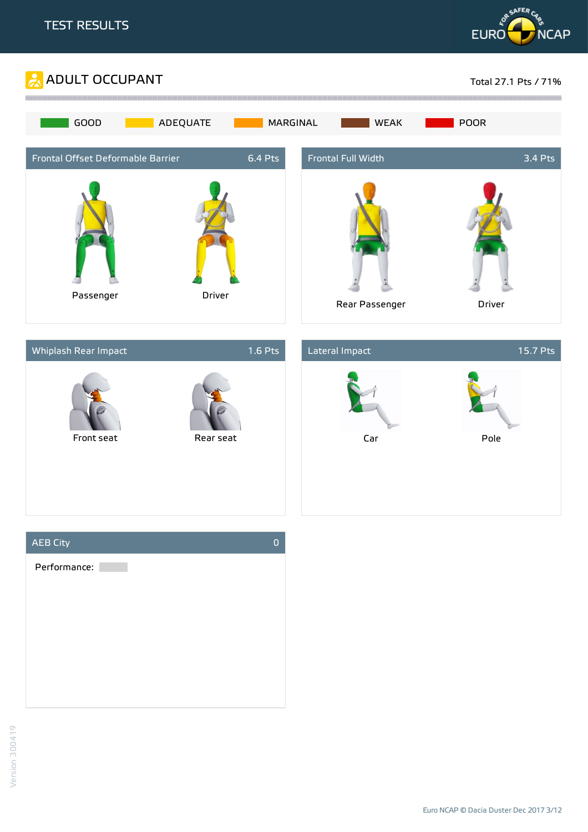







Euro NCAP © Dacia Duster Dec 2017 3/12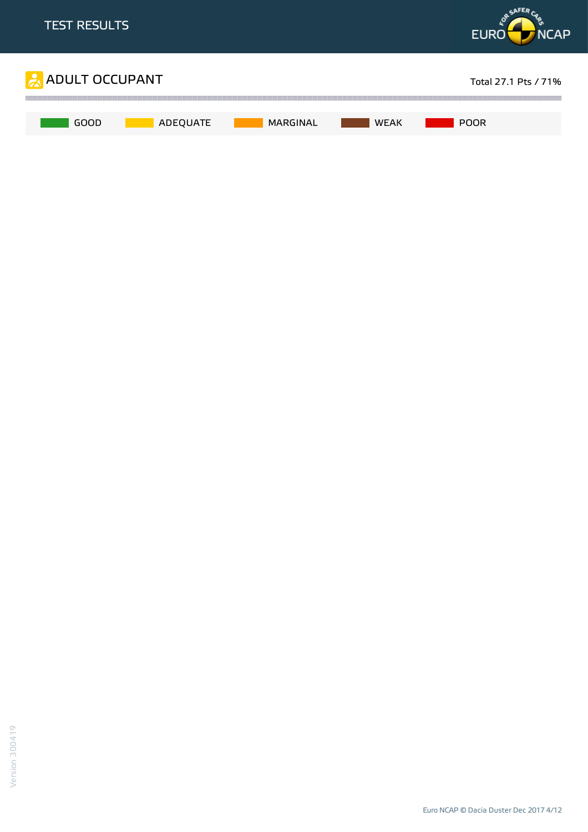

Euro NCAP © Dacia Duster Dec 2017 4/12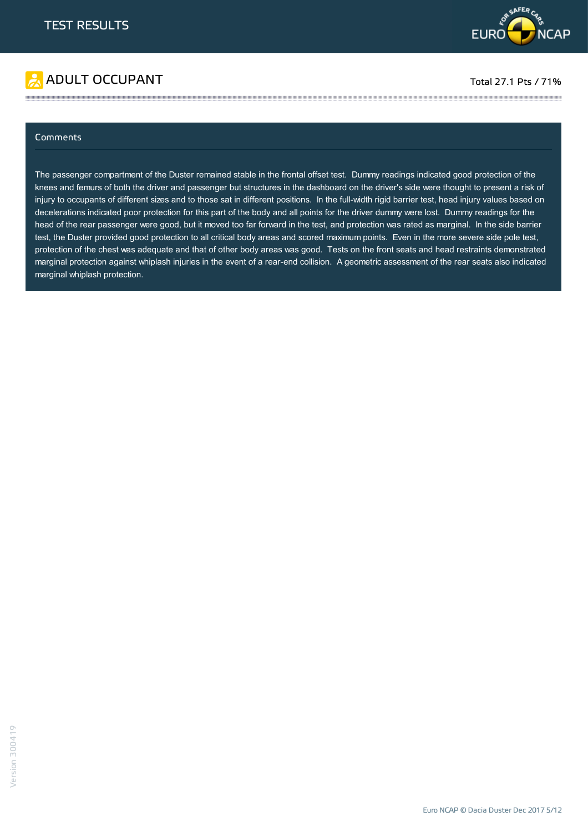

# ADULT OCCUPANT TO A RESERVE TO A RESERVE TO A RESERVE TO A RESERVE TO A RESERVE TO A RESERVE TO A RESERVE TO A

### **Comments**

The passenger compartment of the Duster remained stable in the frontal offset test. Dummy readings indicated good protection of the knees and femurs of both the driver and passenger but structures in the dashboard on the driver's side were thought to present a risk of injury to occupants of different sizes and to those sat in different positions. In the full-width rigid barrier test, head injury values based on decelerations indicated poor protection for this part of the body and all points for the driver dummy were lost. Dummy readings for the head of the rear passenger were good, but it moved too far forward in the test, and protection was rated as marginal. In the side barrier test, the Duster provided good protection to all critical body areas and scored maximum points. Even in the more severe side pole test, protection of the chest was adequate and that of other body areas was good. Tests on the front seats and head restraints demonstrated marginal protection against whiplash injuries in the event of a rear-end collision. A geometric assessment of the rear seats also indicated marginal whiplash protection.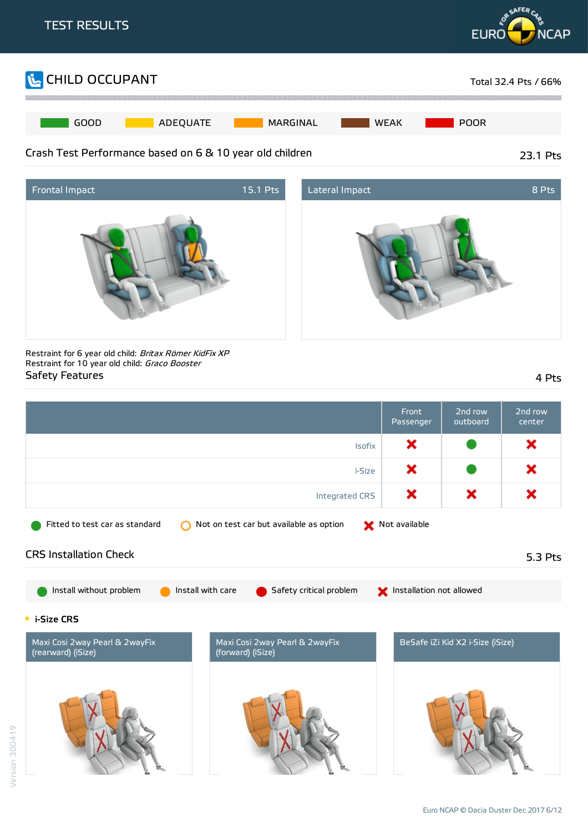





Restraint for 6 year old child: Britax Römer KidFix XP Restraint for 10 year old child: Graco Booster Safety Features 4 Pts

|                                                                                                                                          | <b>Front</b><br>Passenger | 2nd row<br>outboard              | 2nd row<br>center |
|------------------------------------------------------------------------------------------------------------------------------------------|---------------------------|----------------------------------|-------------------|
| Isofix                                                                                                                                   | ×                         |                                  | ×                 |
| i-Size                                                                                                                                   | ×                         |                                  | ×                 |
| <b>Integrated CRS</b>                                                                                                                    | ×                         | ×                                | ×                 |
| Not on test car but available as option<br>Fitted to test car as standard<br>∩                                                           | Not available             |                                  |                   |
| <b>CRS Installation Check</b>                                                                                                            |                           |                                  | 5.3 Pts           |
| Install without problem<br>Install with care<br>Safety critical problem                                                                  | Installation not allowed  |                                  |                   |
| $\blacksquare$ i-Size CRS<br>Maxi Cosi 2way Pearl & 2wayFix<br>Maxi Cosi 2way Pearl & 2wayFix<br>(rearward) (iSize)<br>(forward) (iSize) |                           | BeSafe iZi Kid X2 i-Size (iSize) |                   |
|                                                                                                                                          |                           |                                  |                   |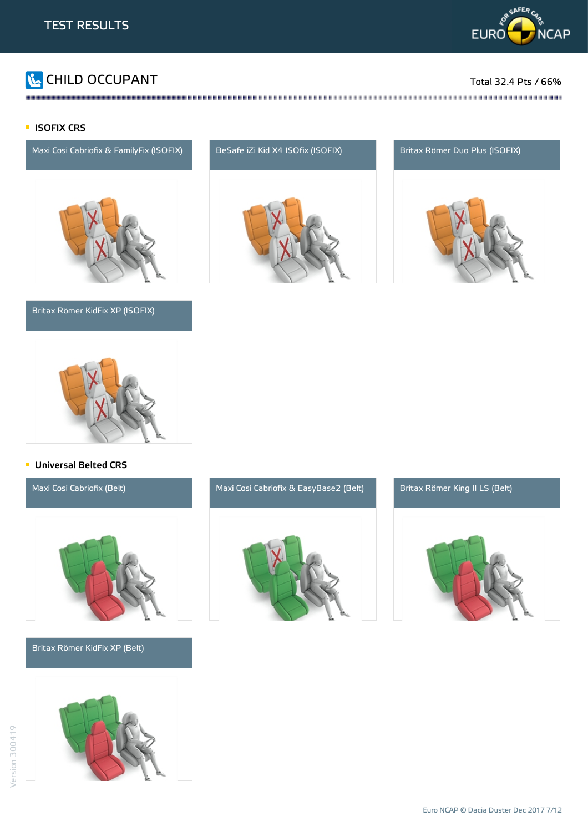

# CHILD OCCUPANT Total 32.4 Pts / 66%

### **ISOFIX CRS**



### Britax Römer KidFix XP (ISOFIX)



and the contract of the contract of the contract of the contract of the contract of the contract of the contract of the contract of the contract of the contract of the contract of the contract of the contract of the contra





### **Universal Belted CRS**



Britax Römer KidFix XP (Belt)





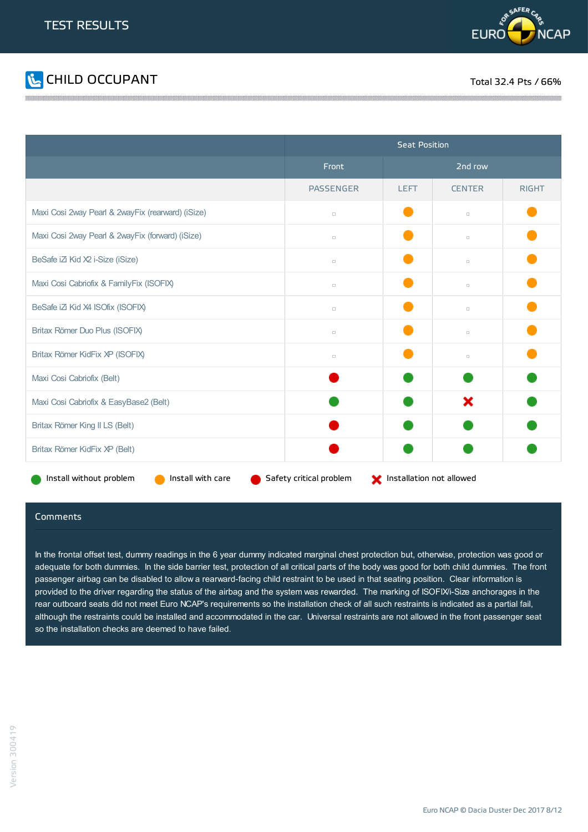



|                                                   | <b>Seat Position</b>    |                          |               |              |
|---------------------------------------------------|-------------------------|--------------------------|---------------|--------------|
|                                                   | Front                   | 2nd row                  |               |              |
|                                                   | <b>PASSENGER</b>        | <b>LEFT</b>              | <b>CENTER</b> | <b>RIGHT</b> |
| Maxi Cosi 2way Pearl & 2wayFix (rearward) (iSize) | $\Box$                  |                          | $\Box$        |              |
| Maxi Cosi 2way Pearl & 2wayFix (forward) (iSize)  | $\Box$                  |                          | $\Box$        |              |
| BeSafe iZi Kid X2 i-Size (iSize)                  | $\Box$                  |                          | $\Box$        |              |
| Maxi Cosi Cabriofix & FamilyFix (ISOFIX)          | $\Box$                  |                          | $\Box$        |              |
| BeSafe iZi Kid X4 ISOfix (ISOFIX)                 | $\Box$                  |                          | $\Box$        |              |
| Britax Römer Duo Plus (ISOFIX)                    | $\Box$                  |                          | $\Box$        |              |
| Britax Römer KidFix XP (ISOFIX)                   | $\Box$                  |                          | $\Box$        |              |
| Maxi Cosi Cabriofix (Belt)                        |                         |                          |               |              |
| Maxi Cosi Cabriofix & EasyBase2 (Belt)            |                         |                          | ×             |              |
| Britax Römer King II LS (Belt)                    |                         |                          |               |              |
| Britax Römer KidFix XP (Belt)                     |                         |                          |               |              |
| Install with care<br>Install without problem      | Safety critical problem | Installation not allowed |               |              |

### Comments

In the frontal offset test, dummy readings in the 6 year dummy indicated marginal chest protection but, otherwise, protection was good or adequate for both dummies. In the side barrier test, protection of all critical parts of the body was good for both child dummies. The front passenger airbag can be disabled to allow a rearward-facing child restraint to be used in that seating position. Clear information is provided to the driver regarding the status of the airbag and the system was rewarded. The marking of ISOFIX/i-Size anchorages in the rear outboard seats did not meet Euro NCAP's requirements so the installation check of all such restraints is indicated as a partial fail, although the restraints could be installed and accommodated in the car. Universal restraints are not allowed in the front passenger seat so the installation checks are deemed to have failed.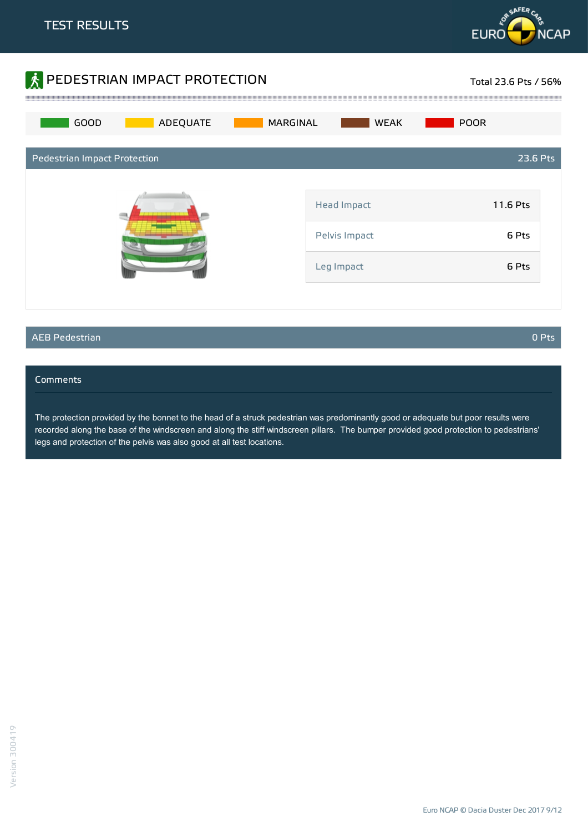



### AEB Pedestrian 0 Pts

### Comments

The protection provided by the bonnet to the head of a struck pedestrian was predominantly good or adequate but poor results were recorded along the base of the windscreen and along the stiff windscreen pillars. The bumper provided good protection to pedestrians' legs and protection of the pelvis was also good at all test locations.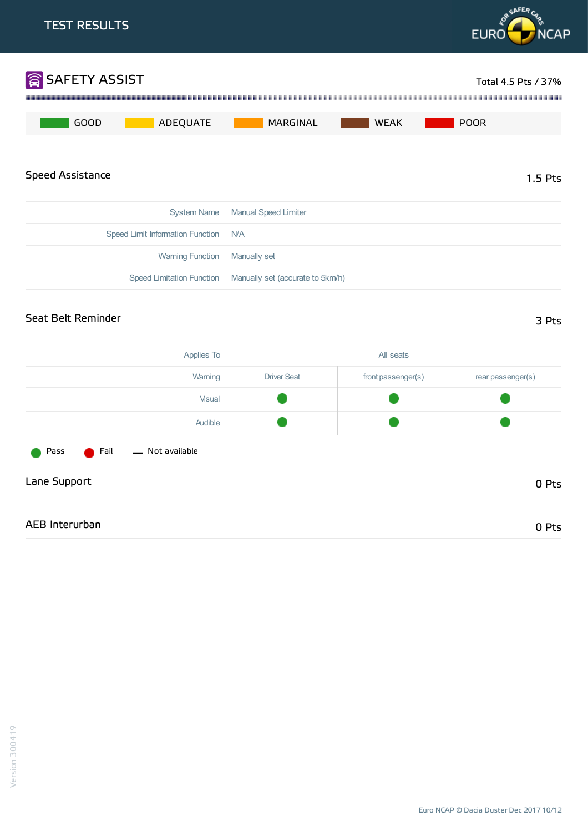

Lane Support 0 Pts

AEB Interurban 0 Pts

Pass **C** Fail - Not available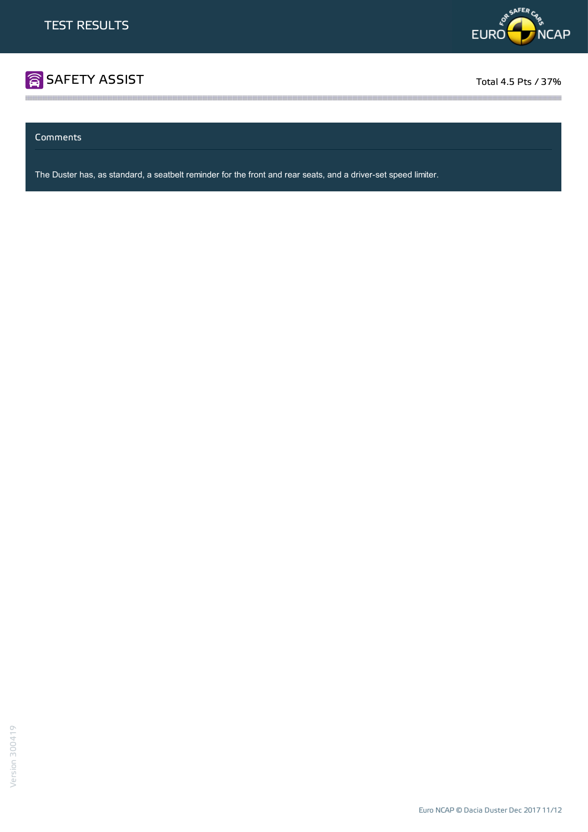

# **SAFETY ASSIST** Total 4.5 Pts / 37%

<u> Alaman Alaman Alaman Alaman Alaman</u>

Comments

The Duster has, as standard, a seatbelt reminder for the front and rear seats, and a driver-set speed limiter.